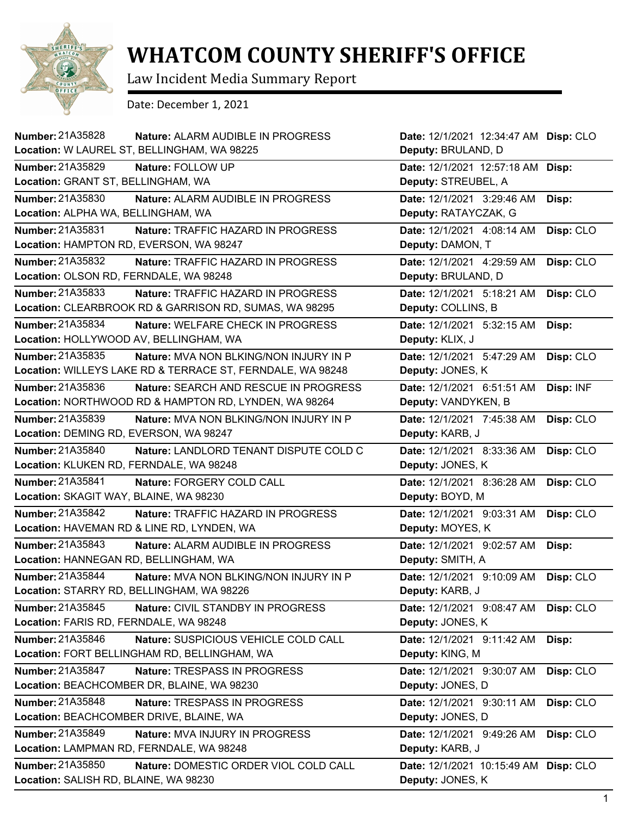

## **WHATCOM COUNTY SHERIFF'S OFFICE**

Law Incident Media Summary Report

Date: December 1, 2021

| <b>Number: 21A35828</b><br><b>Nature: ALARM AUDIBLE IN PROGRESS</b><br>Location: W LAUREL ST, BELLINGHAM, WA 98225 | Date: 12/1/2021 12:34:47 AM Disp: CLO<br>Deputy: BRULAND, D |
|--------------------------------------------------------------------------------------------------------------------|-------------------------------------------------------------|
| <b>Number: 21A35829</b><br>Nature: FOLLOW UP                                                                       | Date: 12/1/2021 12:57:18 AM Disp:                           |
| Location: GRANT ST, BELLINGHAM, WA                                                                                 | Deputy: STREUBEL, A                                         |
| Number: 21A35830                                                                                                   | Date: 12/1/2021 3:29:46 AM                                  |
| Nature: ALARM AUDIBLE IN PROGRESS                                                                                  | Disp:                                                       |
| Location: ALPHA WA, BELLINGHAM, WA                                                                                 | Deputy: RATAYCZAK, G                                        |
| Number: 21A35831                                                                                                   | Date: 12/1/2021 4:08:14 AM                                  |
| Nature: TRAFFIC HAZARD IN PROGRESS                                                                                 | Disp: CLO                                                   |
| Location: HAMPTON RD, EVERSON, WA 98247                                                                            | Deputy: DAMON, T                                            |
| Number: 21A35832                                                                                                   | Date: 12/1/2021 4:29:59 AM                                  |
| Nature: TRAFFIC HAZARD IN PROGRESS                                                                                 | Disp: CLO                                                   |
| Location: OLSON RD, FERNDALE, WA 98248                                                                             | Deputy: BRULAND, D                                          |
| Number: 21A35833                                                                                                   | Date: 12/1/2021 5:18:21 AM                                  |
| Nature: TRAFFIC HAZARD IN PROGRESS                                                                                 | Disp: CLO                                                   |
| Location: CLEARBROOK RD & GARRISON RD, SUMAS, WA 98295                                                             | Deputy: COLLINS, B                                          |
| Number: 21A35834                                                                                                   | Date: 12/1/2021 5:32:15 AM                                  |
| Nature: WELFARE CHECK IN PROGRESS                                                                                  | Disp:                                                       |
| Location: HOLLYWOOD AV, BELLINGHAM, WA                                                                             | Deputy: KLIX, J                                             |
| Number: 21A35835                                                                                                   | Date: 12/1/2021 5:47:29 AM                                  |
| Nature: MVA NON BLKING/NON INJURY IN P                                                                             | Disp: CLO                                                   |
| Location: WILLEYS LAKE RD & TERRACE ST, FERNDALE, WA 98248                                                         | Deputy: JONES, K                                            |
| Number: 21A35836                                                                                                   | Disp: INF                                                   |
| Nature: SEARCH AND RESCUE IN PROGRESS                                                                              | Date: 12/1/2021 6:51:51 AM                                  |
| Location: NORTHWOOD RD & HAMPTON RD, LYNDEN, WA 98264                                                              | Deputy: VANDYKEN, B                                         |
| Number: 21A35839                                                                                                   | Date: 12/1/2021 7:45:38 AM                                  |
| Nature: MVA NON BLKING/NON INJURY IN P                                                                             | Disp: CLO                                                   |
| Location: DEMING RD, EVERSON, WA 98247                                                                             | Deputy: KARB, J                                             |
| Number: 21A35840                                                                                                   | Disp: CLO                                                   |
| Nature: LANDLORD TENANT DISPUTE COLD C                                                                             | Date: 12/1/2021 8:33:36 AM                                  |
| Location: KLUKEN RD, FERNDALE, WA 98248                                                                            | Deputy: JONES, K                                            |
| Number: 21A35841                                                                                                   | Date: 12/1/2021 8:36:28 AM                                  |
| Nature: FORGERY COLD CALL                                                                                          | Disp: CLO                                                   |
| Location: SKAGIT WAY, BLAINE, WA 98230                                                                             | Deputy: BOYD, M                                             |
| Number: 21A35842                                                                                                   | Date: 12/1/2021 9:03:31 AM                                  |
| Nature: TRAFFIC HAZARD IN PROGRESS                                                                                 | Disp: CLO                                                   |
| Location: HAVEMAN RD & LINE RD, LYNDEN, WA                                                                         | Deputy: MOYES, K                                            |
| Number: 21A35843                                                                                                   | Date: 12/1/2021 9:02:57 AM                                  |
| Nature: ALARM AUDIBLE IN PROGRESS                                                                                  | Disp:                                                       |
| Location: HANNEGAN RD, BELLINGHAM, WA                                                                              | Deputy: SMITH, A                                            |
| Number: 21A35844                                                                                                   | Date: 12/1/2021 9:10:09 AM                                  |
| Nature: MVA NON BLKING/NON INJURY IN P                                                                             | Disp: CLO                                                   |
| Location: STARRY RD, BELLINGHAM, WA 98226                                                                          | Deputy: KARB, J                                             |
| Number: 21A35845                                                                                                   | Date: 12/1/2021 9:08:47 AM                                  |
| Nature: CIVIL STANDBY IN PROGRESS                                                                                  | Disp: CLO                                                   |
| Location: FARIS RD, FERNDALE, WA 98248                                                                             | Deputy: JONES, K                                            |
| Number: 21A35846                                                                                                   | Date: 12/1/2021 9:11:42 AM                                  |
| Nature: SUSPICIOUS VEHICLE COLD CALL                                                                               | Disp:                                                       |
| Location: FORT BELLINGHAM RD, BELLINGHAM, WA                                                                       | Deputy: KING, M                                             |
| Number: 21A35847                                                                                                   | Disp: CLO                                                   |
| Nature: TRESPASS IN PROGRESS                                                                                       | Date: 12/1/2021 9:30:07 AM                                  |
| Location: BEACHCOMBER DR, BLAINE, WA 98230                                                                         | Deputy: JONES, D                                            |
| Number: 21A35848                                                                                                   | Date: 12/1/2021 9:30:11 AM                                  |
| Nature: TRESPASS IN PROGRESS                                                                                       | Disp: CLO                                                   |
| Location: BEACHCOMBER DRIVE, BLAINE, WA                                                                            | Deputy: JONES, D                                            |
| Number: 21A35849                                                                                                   | Disp: CLO                                                   |
| Nature: MVA INJURY IN PROGRESS                                                                                     | Date: 12/1/2021 9:49:26 AM                                  |
| Location: LAMPMAN RD, FERNDALE, WA 98248                                                                           | Deputy: KARB, J                                             |
| Number: 21A35850                                                                                                   | Date: 12/1/2021 10:15:49 AM                                 |
| Nature: DOMESTIC ORDER VIOL COLD CALL                                                                              | Disp: CLO                                                   |
| Location: SALISH RD, BLAINE, WA 98230                                                                              | Deputy: JONES, K                                            |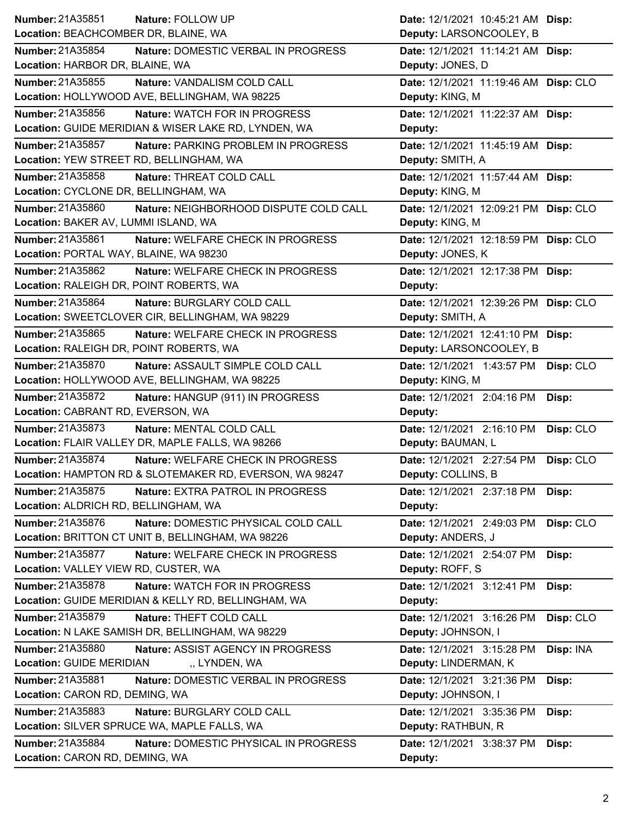|                                                              | Date: 12/1/2021 10:45:21 AM Disp:       |
|--------------------------------------------------------------|-----------------------------------------|
| Location: BEACHCOMBER DR, BLAINE, WA                         | Deputy: LARSONCOOLEY, B                 |
| Number: 21A35854<br>Nature: DOMESTIC VERBAL IN PROGRESS      | Date: 12/1/2021 11:14:21 AM Disp:       |
| Location: HARBOR DR, BLAINE, WA                              | Deputy: JONES, D                        |
| <b>Number: 21A35855</b><br>Nature: VANDALISM COLD CALL       | Date: 12/1/2021 11:19:46 AM Disp: CLO   |
| Location: HOLLYWOOD AVE, BELLINGHAM, WA 98225                | Deputy: KING, M                         |
| Number: 21A35856<br>Nature: WATCH FOR IN PROGRESS            | Date: 12/1/2021 11:22:37 AM Disp:       |
| Location: GUIDE MERIDIAN & WISER LAKE RD, LYNDEN, WA         | Deputy:                                 |
| Number: 21A35857<br>Nature: PARKING PROBLEM IN PROGRESS      | Date: 12/1/2021 11:45:19 AM Disp:       |
| Location: YEW STREET RD, BELLINGHAM, WA                      | Deputy: SMITH, A                        |
| Number: 21A35858<br>Nature: THREAT COLD CALL                 | Date: 12/1/2021 11:57:44 AM Disp:       |
| Location: CYCLONE DR, BELLINGHAM, WA                         | Deputy: KING, M                         |
| Number: 21A35860<br>Nature: NEIGHBORHOOD DISPUTE COLD CALL   | Date: 12/1/2021 12:09:21 PM Disp: CLO   |
| Location: BAKER AV, LUMMI ISLAND, WA                         | Deputy: KING, M                         |
| Number: 21A35861<br>Nature: WELFARE CHECK IN PROGRESS        | Date: 12/1/2021 12:18:59 PM Disp: CLO   |
| Location: PORTAL WAY, BLAINE, WA 98230                       | Deputy: JONES, K                        |
| Number: 21A35862<br>Nature: WELFARE CHECK IN PROGRESS        | Date: 12/1/2021 12:17:38 PM Disp:       |
| Location: RALEIGH DR, POINT ROBERTS, WA                      | Deputy:                                 |
| Number: 21A35864<br>Nature: BURGLARY COLD CALL               | Date: 12/1/2021 12:39:26 PM Disp: CLO   |
| Location: SWEETCLOVER CIR, BELLINGHAM, WA 98229              | Deputy: SMITH, A                        |
| Number: 21A35865<br>Nature: WELFARE CHECK IN PROGRESS        | Date: 12/1/2021 12:41:10 PM Disp:       |
| Location: RALEIGH DR, POINT ROBERTS, WA                      | Deputy: LARSONCOOLEY, B                 |
| Number: 21A35870<br>Nature: ASSAULT SIMPLE COLD CALL         | Date: 12/1/2021 1:43:57 PM<br>Disp: CLO |
| Location: HOLLYWOOD AVE, BELLINGHAM, WA 98225                | Deputy: KING, M                         |
| <b>Number: 21A35872</b><br>Nature: HANGUP (911) IN PROGRESS  | Date: 12/1/2021 2:04:16 PM<br>Disp:     |
| Location: CABRANT RD, EVERSON, WA                            | Deputy:                                 |
| Number: 21A35873<br>Nature: MENTAL COLD CALL                 | Date: 12/1/2021 2:16:10 PM<br>Disp: CLO |
| Location: FLAIR VALLEY DR, MAPLE FALLS, WA 98266             | Deputy: BAUMAN, L                       |
| <b>Number: 21A35874</b><br>Nature: WELFARE CHECK IN PROGRESS | Date: 12/1/2021 2:27:54 PM<br>Disp: CLO |
| Location: HAMPTON RD & SLOTEMAKER RD, EVERSON, WA 98247      | Deputy: COLLINS, B                      |
|                                                              |                                         |
| Number: 21A35875<br>Nature: EXTRA PATROL IN PROGRESS         | Date: 12/1/2021 2:37:18 PM<br>Disp:     |
| Location: ALDRICH RD, BELLINGHAM, WA                         | Deputy:                                 |
| Number: 21A35876<br>Nature: DOMESTIC PHYSICAL COLD CALL      | Date: 12/1/2021 2:49:03 PM<br>Disp: CLO |
| Location: BRITTON CT UNIT B, BELLINGHAM, WA 98226            | Deputy: ANDERS, J                       |
| <b>Number: 21A35877</b><br>Nature: WELFARE CHECK IN PROGRESS | Date: 12/1/2021 2:54:07 PM<br>Disp:     |
| Location: VALLEY VIEW RD, CUSTER, WA                         | Deputy: ROFF, S                         |
| Number: 21A35878<br>Nature: WATCH FOR IN PROGRESS            | Date: 12/1/2021 3:12:41 PM<br>Disp:     |
| Location: GUIDE MERIDIAN & KELLY RD, BELLINGHAM, WA          | Deputy:                                 |
| Number: 21A35879<br>Nature: THEFT COLD CALL                  | Disp: CLO<br>Date: 12/1/2021 3:16:26 PM |
| Location: N LAKE SAMISH DR, BELLINGHAM, WA 98229             | Deputy: JOHNSON, I                      |
| Number: 21A35880<br>Nature: ASSIST AGENCY IN PROGRESS        | Date: 12/1/2021 3:15:28 PM<br>Disp: INA |
| <b>Location: GUIDE MERIDIAN</b><br>"LYNDEN, WA               | Deputy: LINDERMAN, K                    |
| Number: 21A35881<br>Nature: DOMESTIC VERBAL IN PROGRESS      | Date: 12/1/2021 3:21:36 PM<br>Disp:     |
| Location: CARON RD, DEMING, WA                               | Deputy: JOHNSON, I                      |
| Number: 21A35883<br>Nature: BURGLARY COLD CALL               | Date: 12/1/2021 3:35:36 PM              |
| Location: SILVER SPRUCE WA, MAPLE FALLS, WA                  | Disp:<br>Deputy: RATHBUN, R             |
| Number: 21A35884<br>Nature: DOMESTIC PHYSICAL IN PROGRESS    | Date: 12/1/2021 3:38:37 PM<br>Disp:     |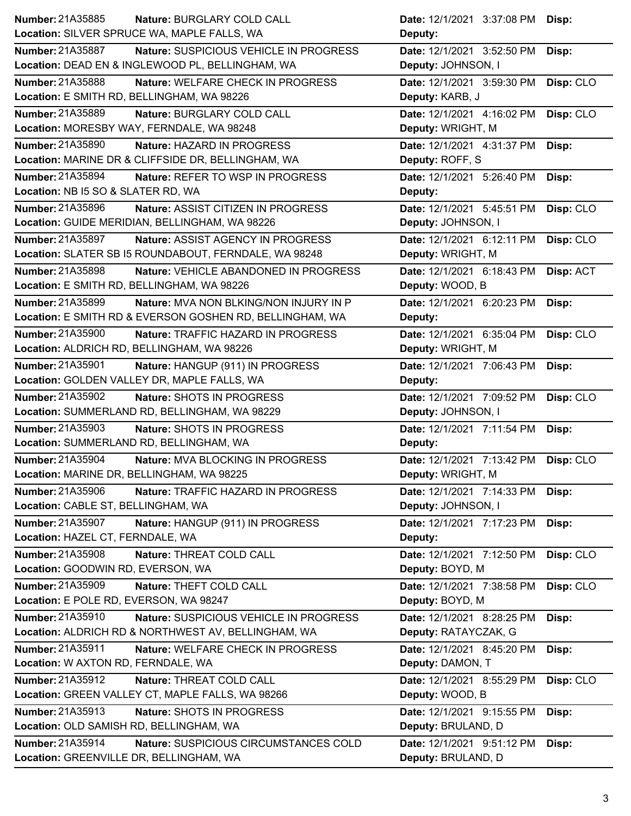| Number: 21A35885<br>Nature: BURGLARY COLD CALL                    | Date: 12/1/2021 3:37:08 PM Disp:                          |
|-------------------------------------------------------------------|-----------------------------------------------------------|
| Location: SILVER SPRUCE WA, MAPLE FALLS, WA                       | Deputy:                                                   |
| <b>Number: 21A35887</b><br>Nature: SUSPICIOUS VEHICLE IN PROGRESS | Date: 12/1/2021 3:52:50 PM<br>Disp:                       |
| Location: DEAD EN & INGLEWOOD PL, BELLINGHAM, WA                  | Deputy: JOHNSON, I                                        |
| Number: 21A35888<br>Nature: WELFARE CHECK IN PROGRESS             | Date: 12/1/2021 3:59:30 PM<br>Disp: CLO                   |
| Location: E SMITH RD, BELLINGHAM, WA 98226                        | Deputy: KARB, J                                           |
| <b>Number: 21A35889</b><br>Nature: BURGLARY COLD CALL             | Date: 12/1/2021 4:16:02 PM<br>Disp: CLO                   |
| Location: MORESBY WAY, FERNDALE, WA 98248                         | Deputy: WRIGHT, M                                         |
| Number: 21A35890<br>Nature: HAZARD IN PROGRESS                    | Date: 12/1/2021 4:31:37 PM<br>Disp:                       |
| Location: MARINE DR & CLIFFSIDE DR, BELLINGHAM, WA                | Deputy: ROFF, S                                           |
| Number: 21A35894<br>Nature: REFER TO WSP IN PROGRESS              | Date: 12/1/2021 5:26:40 PM<br>Disp:                       |
| Location: NB I5 SO & SLATER RD, WA                                | Deputy:                                                   |
| Number: 21A35896<br>Nature: ASSIST CITIZEN IN PROGRESS            | Date: 12/1/2021 5:45:51 PM<br>Disp: CLO                   |
| Location: GUIDE MERIDIAN, BELLINGHAM, WA 98226                    | Deputy: JOHNSON, I                                        |
| Number: 21A35897<br>Nature: ASSIST AGENCY IN PROGRESS             | Date: 12/1/2021 6:12:11 PM<br>Disp: CLO                   |
| Location: SLATER SB I5 ROUNDABOUT, FERNDALE, WA 98248             | Deputy: WRIGHT, M                                         |
| <b>Number: 21A35898</b><br>Nature: VEHICLE ABANDONED IN PROGRESS  | Date: 12/1/2021 6:18:43 PM<br>Disp: ACT                   |
| Location: E SMITH RD, BELLINGHAM, WA 98226                        | Deputy: WOOD, B                                           |
| Number: 21A35899<br>Nature: MVA NON BLKING/NON INJURY IN P        | Date: 12/1/2021 6:20:23 PM<br>Disp:                       |
| Location: E SMITH RD & EVERSON GOSHEN RD, BELLINGHAM, WA          | Deputy:                                                   |
| <b>Number: 21A35900</b><br>Nature: TRAFFIC HAZARD IN PROGRESS     | Disp: CLO<br>Date: 12/1/2021 6:35:04 PM                   |
| Location: ALDRICH RD, BELLINGHAM, WA 98226                        | Deputy: WRIGHT, M                                         |
| Number: 21A35901<br>Nature: HANGUP (911) IN PROGRESS              | Date: 12/1/2021 7:06:43 PM<br>Disp:                       |
| Location: GOLDEN VALLEY DR, MAPLE FALLS, WA                       | Deputy:                                                   |
| <b>Number: 21A35902</b><br>Nature: SHOTS IN PROGRESS              | Date: 12/1/2021 7:09:52 PM<br>Disp: CLO                   |
| Location: SUMMERLAND RD, BELLINGHAM, WA 98229                     | Deputy: JOHNSON, I                                        |
| Number: 21A35903<br>Nature: SHOTS IN PROGRESS                     | Date: 12/1/2021 7:11:54 PM<br>Disp:                       |
| Location: SUMMERLAND RD, BELLINGHAM, WA                           | Deputy:                                                   |
| Number: 21A35904<br>Nature: MVA BLOCKING IN PROGRESS              | Date: 12/1/2021 7:13:42 PM<br>Disp: CLO                   |
| Location: MARINE DR, BELLINGHAM, WA 98225                         | Deputy: WRIGHT, M                                         |
| <b>Number: 21A35906</b><br>Nature: TRAFFIC HAZARD IN PROGRESS     | Date: 12/1/2021 7:14:33 PM<br>Disp:                       |
| Location: CABLE ST, BELLINGHAM, WA                                | Deputy: JOHNSON, I                                        |
| Number: 21A35907<br>Nature: HANGUP (911) IN PROGRESS              | Date: 12/1/2021 7:17:23 PM<br>Disp:                       |
| Location: HAZEL CT, FERNDALE, WA                                  | Deputy:                                                   |
| Number: 21A35908<br>Nature: THREAT COLD CALL                      | Date: 12/1/2021 7:12:50 PM<br>Disp: CLO                   |
| Location: GOODWIN RD, EVERSON, WA                                 | Deputy: BOYD, M                                           |
|                                                                   |                                                           |
| Number: 21A35909<br>Nature: THEFT COLD CALL                       | Date: 12/1/2021 7:38:58 PM                                |
| Location: E POLE RD, EVERSON, WA 98247                            | Disp: CLO<br>Deputy: BOYD, M                              |
| Number: 21A35910<br>Nature: SUSPICIOUS VEHICLE IN PROGRESS        | Date: 12/1/2021 8:28:25 PM                                |
| Location: ALDRICH RD & NORTHWEST AV, BELLINGHAM, WA               | Disp:<br>Deputy: RATAYCZAK, G                             |
| Number: 21A35911<br>Nature: WELFARE CHECK IN PROGRESS             | Date: 12/1/2021 8:45:20 PM<br>Disp:                       |
| Location: W AXTON RD, FERNDALE, WA                                | Deputy: DAMON, T                                          |
| Number: 21A35912<br>Nature: THREAT COLD CALL                      | Date: 12/1/2021 8:55:29 PM<br>Disp: CLO                   |
| Location: GREEN VALLEY CT, MAPLE FALLS, WA 98266                  | Deputy: WOOD, B                                           |
| Number: 21A35913<br>Nature: SHOTS IN PROGRESS                     |                                                           |
| Location: OLD SAMISH RD, BELLINGHAM, WA                           | Date: 12/1/2021 9:15:55 PM<br>Disp:<br>Deputy: BRULAND, D |
| Number: 21A35914<br>Nature: SUSPICIOUS CIRCUMSTANCES COLD         | Date: 12/1/2021 9:51:12 PM<br>Disp:                       |